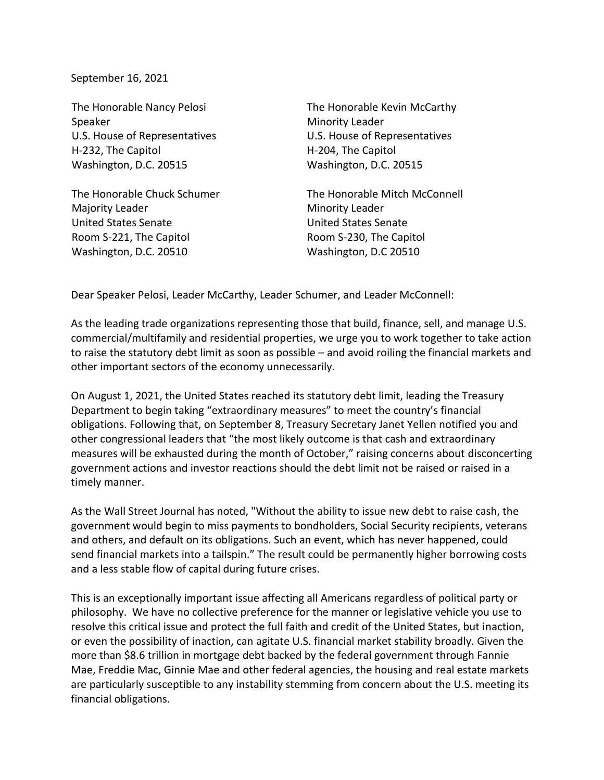September 16, 2021

The Honorable Nancy Pelosi Speaker U.S. House of Representatives H-232, The Capitol Washington, D.C. 20515

The Honorable Chuck Schumer Majority Leader United States Senate Room S-221, The Capitol Washington, D.C. 20510

The Honorable Kevin McCarthy Minority Leader U.S. House of Representatives H-204, The Capitol Washington, D.C. 20515

The Honorable Mitch McConnell Minority Leader United States Senate Room S-230, The Capitol Washington, D.C 20510

Dear Speaker Pelosi, Leader McCarthy, Leader Schumer, and Leader McConnell:

As the leading trade organizations representing those that build, finance, sell, and manage U.S. commercial/multifamily and residential properties, we urge you to work together to take action to raise the statutory debt limit as soon as possible – and avoid roiling the financial markets and other important sectors of the economy unnecessarily.

On August 1, 2021, the United States reached its statutory debt limit, leading the Treasury Department to begin taking "extraordinary measures" to meet the country's financial obligations. Following that, on September 8, Treasury Secretary Janet Yellen notified you and other congressional leaders that "the most likely outcome is that cash and extraordinary measures will be exhausted during the month of October," raising concerns about disconcerting government actions and investor reactions should the debt limit not be raised or raised in a timely manner.

As the Wall Street Journal has noted, "Without the ability to issue new debt to raise cash, the government would begin to miss payments to bondholders, Social Security recipients, veterans and others, and default on its obligations. Such an event, which has never happened, could send financial markets into a tailspin." The result could be permanently higher borrowing costs and a less stable flow of capital during future crises.

This is an exceptionally important issue affecting all Americans regardless of political party or philosophy. We have no collective preference for the manner or legislative vehicle you use to resolve this critical issue and protect the full faith and credit of the United States, but inaction, or even the possibility of inaction, can agitate U.S. financial market stability broadly. Given the more than \$8.6 trillion in mortgage debt backed by the federal government through Fannie Mae, Freddie Mac, Ginnie Mae and other federal agencies, the housing and real estate markets are particularly susceptible to any instability stemming from concern about the U.S. meeting its financial obligations.